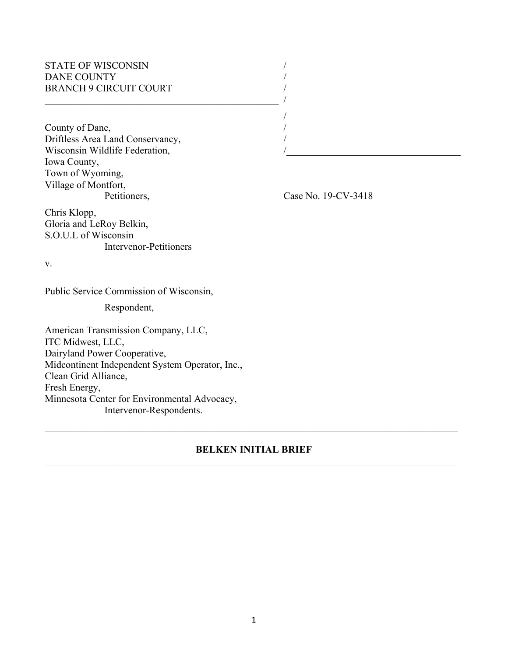# STATE OF WISCONSIN DANE COUNTY BRANCH 9 CIRCUIT COURT

 $\overline{\phantom{a}}$ 

County of Dane, Driftless Area Land Conservancy, Wisconsin Wildlife Federation, Iowa County, Town of Wyoming, Village of Montfort,

Petitioners, Case No. 19-CV-3418

/

Chris Klopp, Gloria and LeRoy Belkin, S.O.U.L of Wisconsin Intervenor-Petitioners

v.

Public Service Commission of Wisconsin,

Respondent,

American Transmission Company, LLC, ITC Midwest, LLC, Dairyland Power Cooperative, Midcontinent Independent System Operator, Inc., Clean Grid Alliance, Fresh Energy, Minnesota Center for Environmental Advocacy, Intervenor-Respondents.

### **BELKEN INITIAL BRIEF**  $\mathcal{L}_\mathcal{L} = \{ \mathcal{L}_\mathcal{L} = \{ \mathcal{L}_\mathcal{L} = \{ \mathcal{L}_\mathcal{L} = \{ \mathcal{L}_\mathcal{L} = \{ \mathcal{L}_\mathcal{L} = \{ \mathcal{L}_\mathcal{L} = \{ \mathcal{L}_\mathcal{L} = \{ \mathcal{L}_\mathcal{L} = \{ \mathcal{L}_\mathcal{L} = \{ \mathcal{L}_\mathcal{L} = \{ \mathcal{L}_\mathcal{L} = \{ \mathcal{L}_\mathcal{L} = \{ \mathcal{L}_\mathcal{L} = \{ \mathcal{L}_\mathcal{$

 $\mathcal{L}_\mathcal{L} = \{ \mathcal{L}_\mathcal{L} = \{ \mathcal{L}_\mathcal{L} = \{ \mathcal{L}_\mathcal{L} = \{ \mathcal{L}_\mathcal{L} = \{ \mathcal{L}_\mathcal{L} = \{ \mathcal{L}_\mathcal{L} = \{ \mathcal{L}_\mathcal{L} = \{ \mathcal{L}_\mathcal{L} = \{ \mathcal{L}_\mathcal{L} = \{ \mathcal{L}_\mathcal{L} = \{ \mathcal{L}_\mathcal{L} = \{ \mathcal{L}_\mathcal{L} = \{ \mathcal{L}_\mathcal{L} = \{ \mathcal{L}_\mathcal{$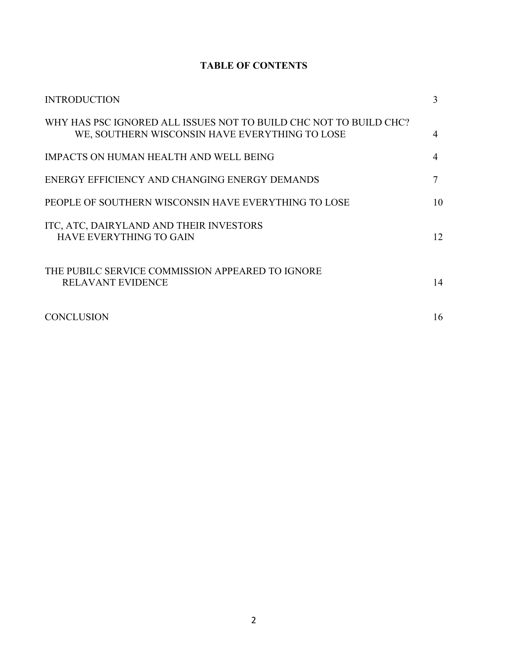# **TABLE OF CONTENTS**

| <b>INTRODUCTION</b>                                                                                                 | 3  |
|---------------------------------------------------------------------------------------------------------------------|----|
| WHY HAS PSC IGNORED ALL ISSUES NOT TO BUILD CHC NOT TO BUILD CHC?<br>WE, SOUTHERN WISCONSIN HAVE EVERYTHING TO LOSE | 4  |
| <b>IMPACTS ON HUMAN HEALTH AND WELL BEING</b>                                                                       |    |
| ENERGY EFFICIENCY AND CHANGING ENERGY DEMANDS                                                                       |    |
| PEOPLE OF SOUTHERN WISCONSIN HAVE EVERYTHING TO LOSE                                                                | 10 |
| ITC, ATC, DAIRYLAND AND THEIR INVESTORS<br><b>HAVE EVERYTHING TO GAIN</b>                                           | 12 |
| THE PUBILC SERVICE COMMISSION APPEARED TO IGNORE<br><b>RELAVANT EVIDENCE</b>                                        | 14 |
| <b>CONCLUSION</b>                                                                                                   | 16 |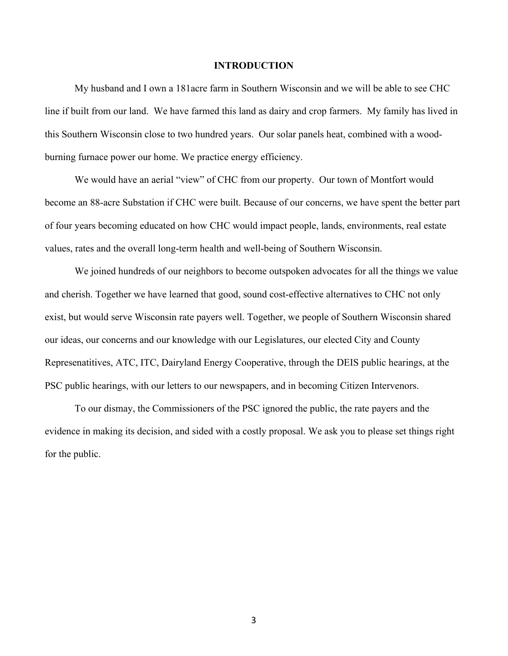#### **INTRODUCTION**

My husband and I own a 181acre farm in Southern Wisconsin and we will be able to see CHC line if built from our land. We have farmed this land as dairy and crop farmers. My family has lived in this Southern Wisconsin close to two hundred years. Our solar panels heat, combined with a woodburning furnace power our home. We practice energy efficiency.

We would have an aerial "view" of CHC from our property. Our town of Montfort would become an 88-acre Substation if CHC were built. Because of our concerns, we have spent the better part of four years becoming educated on how CHC would impact people, lands, environments, real estate values, rates and the overall long-term health and well-being of Southern Wisconsin.

We joined hundreds of our neighbors to become outspoken advocates for all the things we value and cherish. Together we have learned that good, sound cost-effective alternatives to CHC not only exist, but would serve Wisconsin rate payers well. Together, we people of Southern Wisconsin shared our ideas, our concerns and our knowledge with our Legislatures, our elected City and County Represenatitives, ATC, ITC, Dairyland Energy Cooperative, through the DEIS public hearings, at the PSC public hearings, with our letters to our newspapers, and in becoming Citizen Intervenors.

To our dismay, the Commissioners of the PSC ignored the public, the rate payers and the evidence in making its decision, and sided with a costly proposal. We ask you to please set things right for the public.

3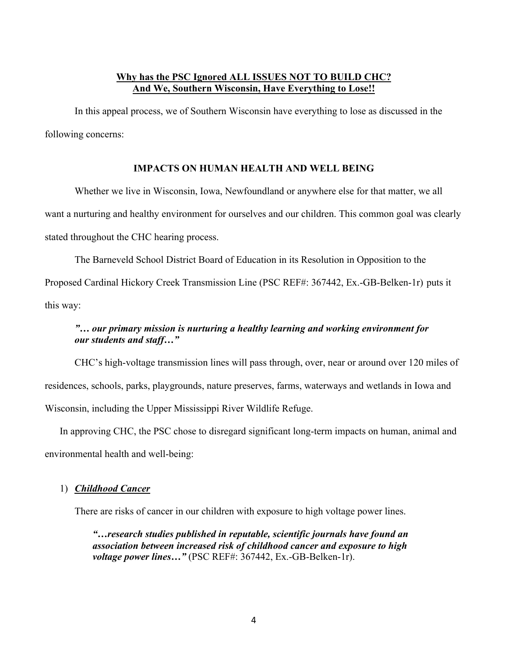## **Why has the PSC Ignored ALL ISSUES NOT TO BUILD CHC? And We, Southern Wisconsin, Have Everything to Lose!!**

In this appeal process, we of Southern Wisconsin have everything to lose as discussed in the following concerns:

### **IMPACTS ON HUMAN HEALTH AND WELL BEING**

Whether we live in Wisconsin, Iowa, Newfoundland or anywhere else for that matter, we all want a nurturing and healthy environment for ourselves and our children. This common goal was clearly stated throughout the CHC hearing process.

The Barneveld School District Board of Education in its Resolution in Opposition to the Proposed Cardinal Hickory Creek Transmission Line (PSC REF#: 367442, Ex.-GB-Belken-1r) puts it this way:

# *"… our primary mission is nurturing a healthy learning and working environment for our students and staff…"*

CHC's high-voltage transmission lines will pass through, over, near or around over 120 miles of residences, schools, parks, playgrounds, nature preserves, farms, waterways and wetlands in Iowa and Wisconsin, including the Upper Mississippi River Wildlife Refuge.

In approving CHC, the PSC chose to disregard significant long-term impacts on human, animal and environmental health and well-being:

### 1) *Childhood Cancer*

There are risks of cancer in our children with exposure to high voltage power lines.

*"…research studies published in reputable, scientific journals have found an association between increased risk of childhood cancer and exposure to high voltage power lines…"* (PSC REF#: 367442, Ex.-GB-Belken-1r).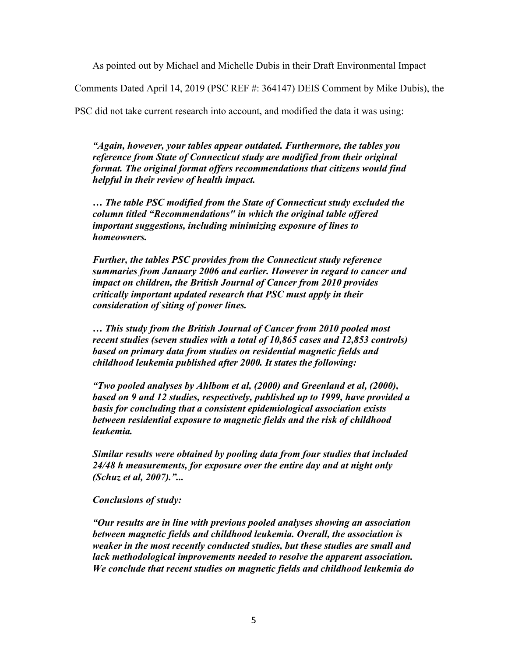As pointed out by Michael and Michelle Dubis in their Draft Environmental Impact

Comments Dated April 14, 2019 (PSC REF #: 364147) DEIS Comment by Mike Dubis), the

PSC did not take current research into account, and modified the data it was using:

*"Again, however, your tables appear outdated. Furthermore, the tables you reference from State of Connecticut study are modified from their original format. The original format offers recommendations that citizens would find helpful in their review of health impact.*

*… The table PSC modified from the State of Connecticut study excluded the column titled "Recommendations" in which the original table offered important suggestions, including minimizing exposure of lines to homeowners.* 

*Further, the tables PSC provides from the Connecticut study reference summaries from January 2006 and earlier. However in regard to cancer and impact on children, the British Journal of Cancer from 2010 provides critically important updated research that PSC must apply in their consideration of siting of power lines.* 

*… This study from the British Journal of Cancer from 2010 pooled most recent studies (seven studies with a total of 10,865 cases and 12,853 controls) based on primary data from studies on residential magnetic fields and childhood leukemia published after 2000. It states the following:* 

*"Two pooled analyses by Ahlbom et al, (2000) and Greenland et al, (2000), based on 9 and 12 studies, respectively, published up to 1999, have provided a basis for concluding that a consistent epidemiological association exists between residential exposure to magnetic fields and the risk of childhood leukemia.* 

*Similar results were obtained by pooling data from four studies that included 24/48 h measurements, for exposure over the entire day and at night only (Schuz et al, 2007)."...* 

#### *Conclusions of study:*

*"Our results are in line with previous pooled analyses showing an association between magnetic fields and childhood leukemia. Overall, the association is weaker in the most recently conducted studies, but these studies are small and lack methodological improvements needed to resolve the apparent association. We conclude that recent studies on magnetic fields and childhood leukemia do*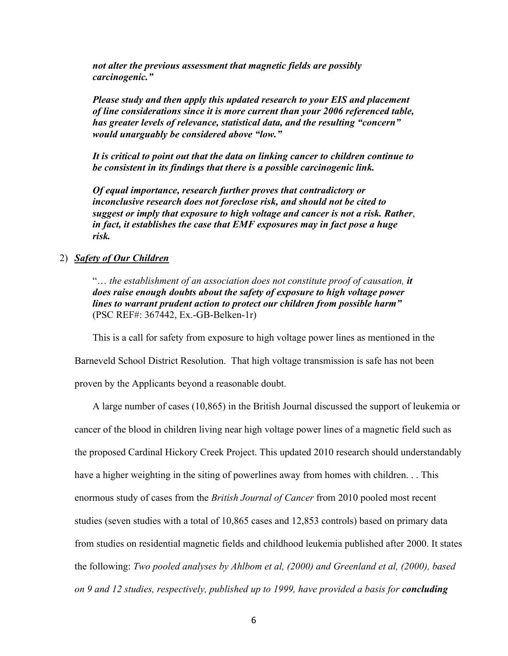*not alter the previous assessment that magnetic fields are possibly carcinogenic."* 

*Please study and then apply this updated research to your EIS and placement of line considerations since it is more current than your 2006 referenced table, has greater levels of relevance, statistical data, and the resulting "concern" would unarguably be considered above "low."* 

*It is critical to point out that the data on linking cancer to children continue to be consistent in its findings that there is a possible carcinogenic link.* 

*Of equal importance, research further proves that contradictory or inconclusive research does not foreclose risk, and should not be cited to suggest or imply that exposure to high voltage and cancer is not a risk. Rather*, *in fact, it establishes the case that EMF exposures may in fact pose a huge risk.* 

#### 2) *Safety of Our Children*

"… *the establishment of an association does not constitute proof of causation, it does raise enough doubts about the safety of exposure to high voltage power lines to warrant prudent action to protect our children from possible harm"*  (PSC REF#: 367442, Ex.-GB-Belken-1r)

This is a call for safety from exposure to high voltage power lines as mentioned in the

Barneveld School District Resolution. That high voltage transmission is safe has not been

proven by the Applicants beyond a reasonable doubt.

A large number of cases (10,865) in the British Journal discussed the support of leukemia or cancer of the blood in children living near high voltage power lines of a magnetic field such as the proposed Cardinal Hickory Creek Project. This updated 2010 research should understandably have a higher weighting in the siting of powerlines away from homes with children. . . This enormous study of cases from the *British Journal of Cancer* from 2010 pooled most recent studies (seven studies with a total of 10,865 cases and 12,853 controls) based on primary data from studies on residential magnetic fields and childhood leukemia published after 2000. It states the following: *Two pooled analyses by Ahlbom et al, (2000) and Greenland et al, (2000), based on 9 and 12 studies, respectively, published up to 1999, have provided a basis for <i>concluding*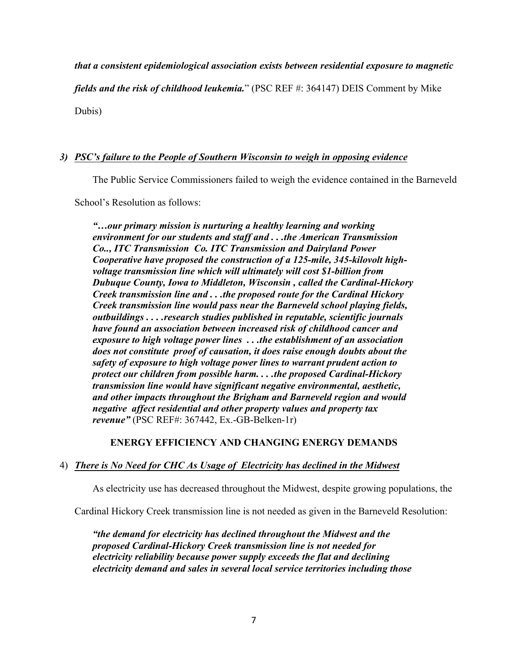# *that a consistent epidemiological association exists between residential exposure to magnetic*

*fields and the risk of childhood leukemia.*" (PSC REF #: 364147) DEIS Comment by Mike

Dubis)

# *3) PSC's failure to the People of Southern Wisconsin to weigh in opposing evidence*

The Public Service Commissioners failed to weigh the evidence contained in the Barneveld

School's Resolution as follows:

*"…our primary mission is nurturing a healthy learning and working environment for our students and staff and . . .the American Transmission Co.., ITC Transmission Co. ITC Transmission and Dairyland Power Cooperative have proposed the construction of a 125-mile, 345-kilovolt highvoltage transmission line which will ultimately will cost \$1-billion from Dubuque County, Iowa to Middleton, Wisconsin , called the Cardinal-Hickory Creek transmission line and . . .the proposed route for the Cardinal Hickory Creek transmission line would pass near the Barneveld school playing fields, outbuildings . . . .research studies published in reputable, scientific journals have found an association between increased risk of childhood cancer and exposure to high voltage power lines . . .the establishment of an association does not constitute proof of causation, it does raise enough doubts about the safety of exposure to high voltage power lines to warrant prudent action to protect our children from possible harm. . . .the proposed Cardinal-Hickory transmission line would have significant negative environmental, aesthetic, and other impacts throughout the Brigham and Barneveld region and would negative affect residential and other property values and property tax revenue"* (PSC REF#: 367442, Ex.-GB-Belken-1r)

### **ENERGY EFFICIENCY AND CHANGING ENERGY DEMANDS**

### 4) *There is No Need for CHC As Usage of Electricity has declined in the Midwest*

As electricity use has decreased throughout the Midwest, despite growing populations, the

Cardinal Hickory Creek transmission line is not needed as given in the Barneveld Resolution:

*"the demand for electricity has declined throughout the Midwest and the proposed Cardinal-Hickory Creek transmission line is not needed for electricity reliability because power supply exceeds the flat and declining electricity demand and sales in several local service territories including those*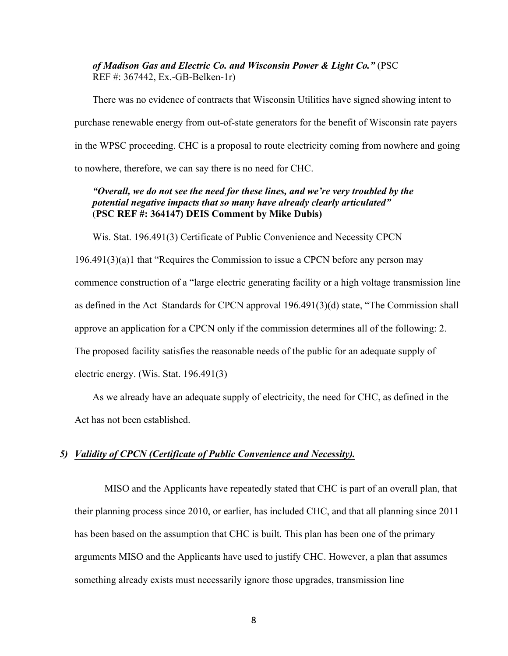### *of Madison Gas and Electric Co. and Wisconsin Power & Light Co."* (PSC REF #: 367442, Ex.-GB-Belken-1r)

There was no evidence of contracts that Wisconsin Utilities have signed showing intent to purchase renewable energy from out-of-state generators for the benefit of Wisconsin rate payers in the WPSC proceeding. CHC is a proposal to route electricity coming from nowhere and going to nowhere, therefore, we can say there is no need for CHC.

### *"Overall, we do not see the need for these lines, and we're very troubled by the potential negative impacts that so many have already clearly articulated"*  (**PSC REF #: 364147) DEIS Comment by Mike Dubis)**

Wis. Stat. 196.491(3) Certificate of Public Convenience and Necessity CPCN

196.491(3)(a)1 that "Requires the Commission to issue a CPCN before any person may commence construction of a "large electric generating facility or a high voltage transmission line as defined in the Act Standards for CPCN approval 196.491(3)(d) state, "The Commission shall approve an application for a CPCN only if the commission determines all of the following: 2. The proposed facility satisfies the reasonable needs of the public for an adequate supply of electric energy. (Wis. Stat. 196.491(3)

As we already have an adequate supply of electricity, the need for CHC, as defined in the Act has not been established.

#### *5) Validity of CPCN (Certificate of Public Convenience and Necessity).*

MISO and the Applicants have repeatedly stated that CHC is part of an overall plan, that their planning process since 2010, or earlier, has included CHC, and that all planning since 2011 has been based on the assumption that CHC is built. This plan has been one of the primary arguments MISO and the Applicants have used to justify CHC. However, a plan that assumes something already exists must necessarily ignore those upgrades, transmission line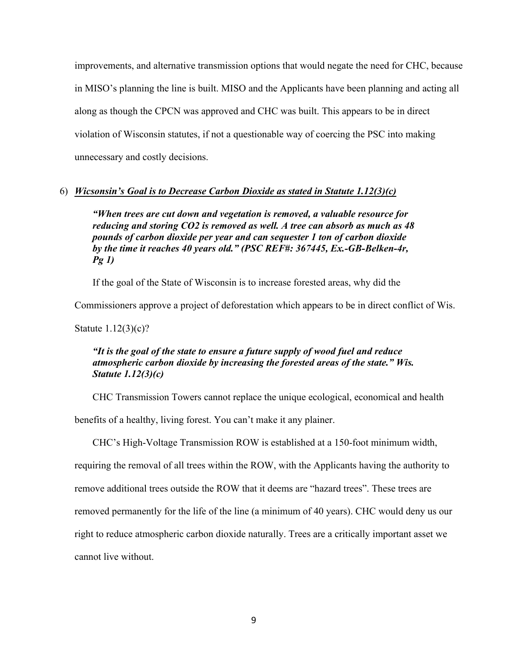improvements, and alternative transmission options that would negate the need for CHC, because in MISO's planning the line is built. MISO and the Applicants have been planning and acting all along as though the CPCN was approved and CHC was built. This appears to be in direct violation of Wisconsin statutes, if not a questionable way of coercing the PSC into making unnecessary and costly decisions.

#### 6) *Wicsonsin's Goal is to Decrease Carbon Dioxide as stated in Statute 1.12(3)(c)*

*"When trees are cut down and vegetation is removed, a valuable resource for reducing and storing CO2 is removed as well. A tree can absorb as much as 48 pounds of carbon dioxide per year and can sequester 1 ton of carbon dioxide by the time it reaches 40 years old." (PSC REF#: 367445, Ex.-GB-Belken-4r, Pg 1)*

If the goal of the State of Wisconsin is to increase forested areas, why did the

Commissioners approve a project of deforestation which appears to be in direct conflict of Wis.

Statute 1.12(3)(c)?

## *"It is the goal of the state to ensure a future supply of wood fuel and reduce atmospheric carbon dioxide by increasing the forested areas of the state." Wis. Statute 1.12(3)(c)*

CHC Transmission Towers cannot replace the unique ecological, economical and health

benefits of a healthy, living forest. You can't make it any plainer.

CHC's High-Voltage Transmission ROW is established at a 150-foot minimum width,

requiring the removal of all trees within the ROW, with the Applicants having the authority to

remove additional trees outside the ROW that it deems are "hazard trees". These trees are

removed permanently for the life of the line (a minimum of 40 years). CHC would deny us our

right to reduce atmospheric carbon dioxide naturally. Trees are a critically important asset we

cannot live without.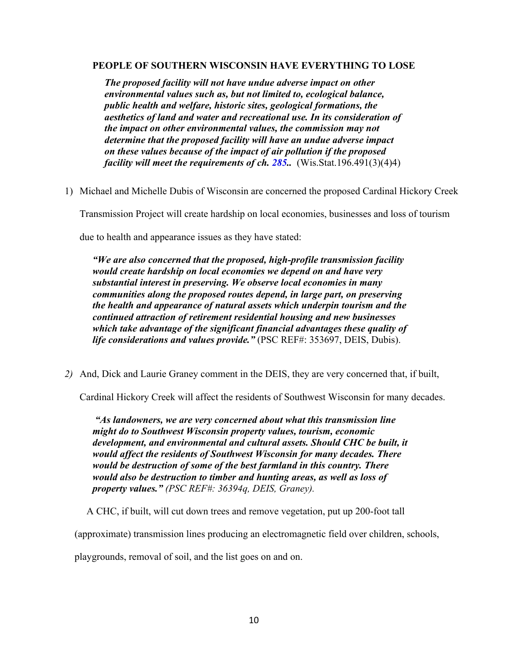#### **PEOPLE OF SOUTHERN WISCONSIN HAVE EVERYTHING TO LOSE**

*The proposed facility will not have undue adverse impact on other environmental values such as, but not limited to, ecological balance, public health and welfare, historic sites, geological formations, the aesthetics of land and water and recreational use. In its consideration of the impact on other environmental values, the commission may not determine that the proposed facility will have an undue adverse impact on these values because of the impact of air pollution if the proposed facility will meet the requirements of ch. 285..* (Wis.Stat.196.491(3)(4)4)

1) Michael and Michelle Dubis of Wisconsin are concerned the proposed Cardinal Hickory Creek

Transmission Project will create hardship on local economies, businesses and loss of tourism

due to health and appearance issues as they have stated:

*"We are also concerned that the proposed, high-profile transmission facility would create hardship on local economies we depend on and have very substantial interest in preserving. We observe local economies in many communities along the proposed routes depend, in large part, on preserving the health and appearance of natural assets which underpin tourism and the continued attraction of retirement residential housing and new businesses which take advantage of the significant financial advantages these quality of life considerations and values provide.*" (PSC REF#: 353697, DEIS, Dubis).

*2)* And, Dick and Laurie Graney comment in the DEIS, they are very concerned that, if built,

Cardinal Hickory Creek will affect the residents of Southwest Wisconsin for many decades.

*"As landowners, we are very concerned about what this transmission line might do to Southwest Wisconsin property values, tourism, economic development, and environmental and cultural assets. Should CHC be built, it would affect the residents of Southwest Wisconsin for many decades. There would be destruction of some of the best farmland in this country. There would also be destruction to timber and hunting areas, as well as loss of property values." (PSC REF#: 36394q, DEIS, Graney).*

A CHC, if built, will cut down trees and remove vegetation, put up 200-foot tall

(approximate) transmission lines producing an electromagnetic field over children, schools,

playgrounds, removal of soil, and the list goes on and on.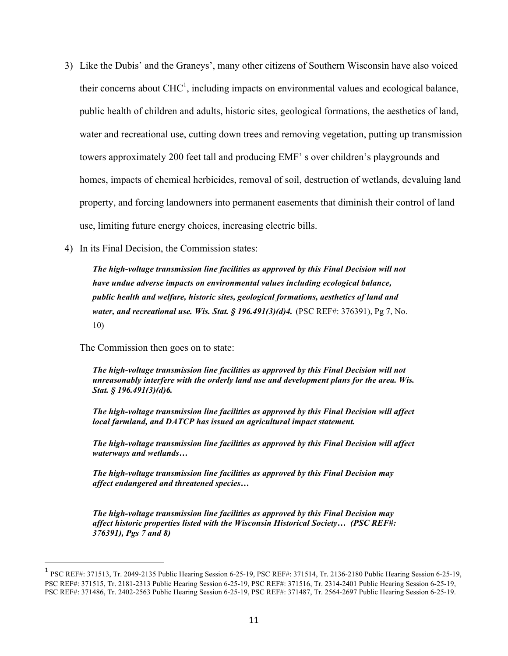- 3) Like the Dubis' and the Graneys', many other citizens of Southern Wisconsin have also voiced their concerns about  $CHC<sup>1</sup>$ , including impacts on environmental values and ecological balance, public health of children and adults, historic sites, geological formations, the aesthetics of land, water and recreational use, cutting down trees and removing vegetation, putting up transmission towers approximately 200 feet tall and producing EMF' s over children's playgrounds and homes, impacts of chemical herbicides, removal of soil, destruction of wetlands, devaluing land property, and forcing landowners into permanent easements that diminish their control of land use, limiting future energy choices, increasing electric bills.
- 4) In its Final Decision, the Commission states:

*The high-voltage transmission line facilities as approved by this Final Decision will not have undue adverse impacts on environmental values including ecological balance, public health and welfare, historic sites, geological formations, aesthetics of land and water, and recreational use. Wis. Stat. § 196.491(3)(d)4.* (PSC REF#: 376391), Pg 7, No. 10)

The Commission then goes on to state:

 $\overline{a}$ 

*The high-voltage transmission line facilities as approved by this Final Decision will not unreasonably interfere with the orderly land use and development plans for the area. Wis. Stat. § 196.491(3)(d)6.*

*The high-voltage transmission line facilities as approved by this Final Decision will affect local farmland, and DATCP has issued an agricultural impact statement.* 

*The high-voltage transmission line facilities as approved by this Final Decision will affect waterways and wetlands…* 

*The high-voltage transmission line facilities as approved by this Final Decision may affect endangered and threatened species…* 

*The high-voltage transmission line facilities as approved by this Final Decision may affect historic properties listed with the Wisconsin Historical Society… (PSC REF#: 376391), Pgs 7 and 8)*

<sup>1</sup> PSC REF#: 371513, Tr. 2049-2135 Public Hearing Session 6-25-19, PSC REF#: 371514, Tr. 2136-2180 Public Hearing Session 6-25-19, PSC REF#: 371515, Tr. 2181-2313 Public Hearing Session 6-25-19, PSC REF#: 371516, Tr. 2314-2401 Public Hearing Session 6-25-19, PSC REF#: 371486, Tr. 2402-2563 Public Hearing Session 6-25-19, PSC REF#: 371487, Tr. 2564-2697 Public Hearing Session 6-25-19.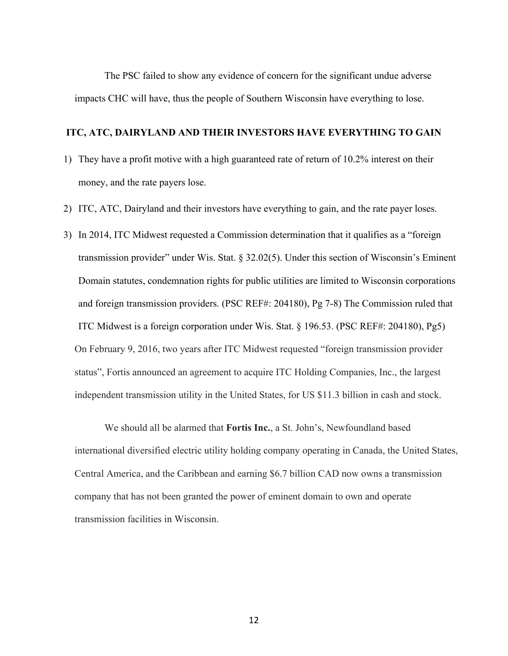The PSC failed to show any evidence of concern for the significant undue adverse impacts CHC will have, thus the people of Southern Wisconsin have everything to lose.

### **ITC, ATC, DAIRYLAND AND THEIR INVESTORS HAVE EVERYTHING TO GAIN**

- 1) They have a profit motive with a high guaranteed rate of return of 10.2% interest on their money, and the rate payers lose.
- 2) ITC, ATC, Dairyland and their investors have everything to gain, and the rate payer loses.
- 3) In 2014, ITC Midwest requested a Commission determination that it qualifies as a "foreign transmission provider" under Wis. Stat. § 32.02(5). Under this section of Wisconsin's Eminent Domain statutes, condemnation rights for public utilities are limited to Wisconsin corporations and foreign transmission providers. (PSC REF#: 204180), Pg 7-8) The Commission ruled that ITC Midwest is a foreign corporation under Wis. Stat. § 196.53. (PSC REF#: 204180), Pg5) On February 9, 2016, two years after ITC Midwest requested "foreign transmission provider status", Fortis announced an agreement to acquire ITC Holding Companies, Inc., the largest independent transmission utility in the United States, for US \$11.3 billion in cash and stock.

We should all be alarmed that **Fortis Inc.**, a St. John's, Newfoundland based international diversified electric utility holding company operating in Canada, the United States, Central America, and the Caribbean and earning \$6.7 billion CAD now owns a transmission company that has not been granted the power of eminent domain to own and operate transmission facilities in Wisconsin.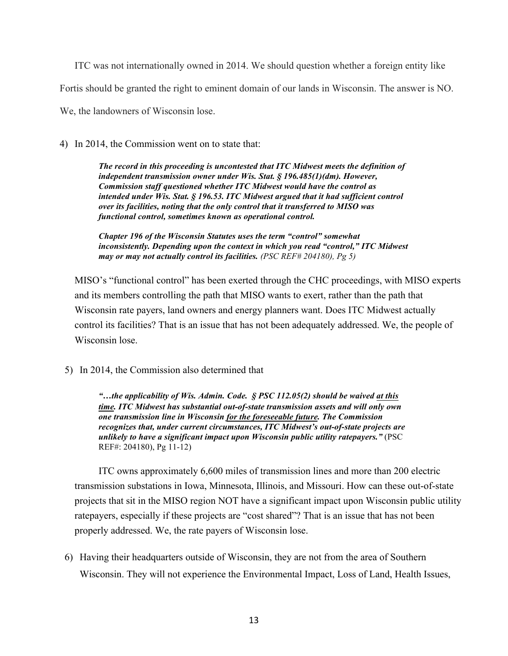ITC was not internationally owned in 2014. We should question whether a foreign entity like

Fortis should be granted the right to eminent domain of our lands in Wisconsin. The answer is NO.

We, the landowners of Wisconsin lose.

4) In 2014, the Commission went on to state that:

*The record in this proceeding is uncontested that ITC Midwest meets the definition of independent transmission owner under Wis. Stat. § 196.485(1)(dm). However, Commission staff questioned whether ITC Midwest would have the control as intended under Wis. Stat. § 196.53. ITC Midwest argued that it had sufficient control over its facilities, noting that the only control that it transferred to MISO was functional control, sometimes known as operational control.* 

*Chapter 196 of the Wisconsin Statutes uses the term "control" somewhat inconsistently. Depending upon the context in which you read "control," ITC Midwest may or may not actually control its facilities. (PSC REF# 204180), Pg 5)*

MISO's "functional control" has been exerted through the CHC proceedings, with MISO experts and its members controlling the path that MISO wants to exert, rather than the path that Wisconsin rate payers, land owners and energy planners want. Does ITC Midwest actually control its facilities? That is an issue that has not been adequately addressed. We, the people of Wisconsin lose.

5) In 2014, the Commission also determined that

*"…the applicability of Wis. Admin. Code. § PSC 112.05(2) should be waived at this time. ITC Midwest has substantial out-of-state transmission assets and will only own one transmission line in Wisconsin for the foreseeable future. The Commission recognizes that, under current circumstances, ITC Midwest's out-of-state projects are unlikely to have a significant impact upon Wisconsin public utility ratepayers."* (PSC REF#: 204180), Pg 11-12)

ITC owns approximately 6,600 miles of transmission lines and more than 200 electric transmission substations in Iowa, Minnesota, Illinois, and Missouri. How can these out-of-state projects that sit in the MISO region NOT have a significant impact upon Wisconsin public utility ratepayers, especially if these projects are "cost shared"? That is an issue that has not been properly addressed. We, the rate payers of Wisconsin lose.

6) Having their headquarters outside of Wisconsin, they are not from the area of Southern Wisconsin. They will not experience the Environmental Impact, Loss of Land, Health Issues,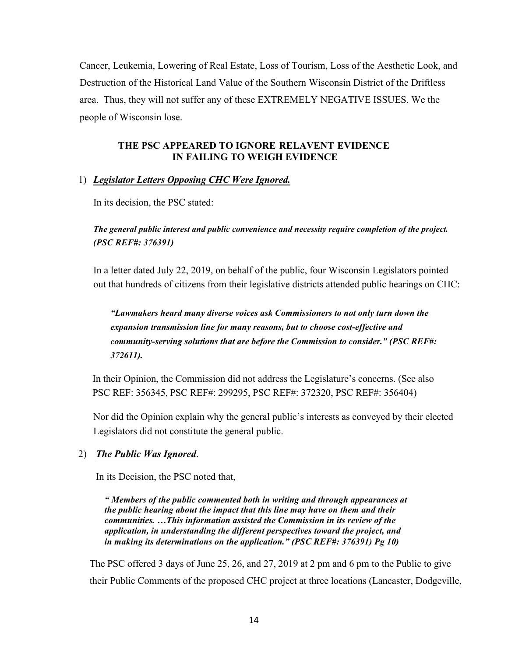Cancer, Leukemia, Lowering of Real Estate, Loss of Tourism, Loss of the Aesthetic Look, and Destruction of the Historical Land Value of the Southern Wisconsin District of the Driftless area. Thus, they will not suffer any of these EXTREMELY NEGATIVE ISSUES. We the people of Wisconsin lose.

# **THE PSC APPEARED TO IGNORE RELAVENT EVIDENCE IN FAILING TO WEIGH EVIDENCE**

# 1) *Legislator Letters Opposing CHC Were Ignored.*

In its decision, the PSC stated:

*The general public interest and public convenience and necessity require completion of the project. (PSC REF#: 376391)*

In a letter dated July 22, 2019, on behalf of the public, four Wisconsin Legislators pointed out that hundreds of citizens from their legislative districts attended public hearings on CHC:

*"Lawmakers heard many diverse voices ask Commissioners to not only turn down the expansion transmission line for many reasons, but to choose cost-effective and community-serving solutions that are before the Commission to consider." (PSC REF#: 372611).* 

In their Opinion, the Commission did not address the Legislature's concerns. (See also PSC REF: 356345, PSC REF#: 299295, PSC REF#: 372320, PSC REF#: 356404)

Nor did the Opinion explain why the general public's interests as conveyed by their elected Legislators did not constitute the general public.

# 2) *The Public Was Ignored*.

In its Decision, the PSC noted that,

*" Members of the public commented both in writing and through appearances at the public hearing about the impact that this line may have on them and their communities. …This information assisted the Commission in its review of the application, in understanding the different perspectives toward the project, and in making its determinations on the application." (PSC REF#: 376391) Pg 10)*

The PSC offered 3 days of June 25, 26, and 27, 2019 at 2 pm and 6 pm to the Public to give their Public Comments of the proposed CHC project at three locations (Lancaster, Dodgeville,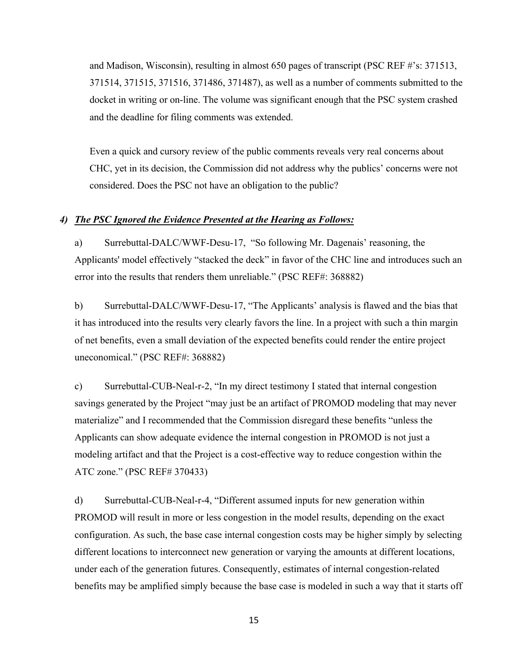and Madison, Wisconsin), resulting in almost 650 pages of transcript (PSC REF #'s: 371513, 371514, 371515, 371516, 371486, 371487), as well as a number of comments submitted to the docket in writing or on-line. The volume was significant enough that the PSC system crashed and the deadline for filing comments was extended.

Even a quick and cursory review of the public comments reveals very real concerns about CHC, yet in its decision, the Commission did not address why the publics' concerns were not considered. Does the PSC not have an obligation to the public?

#### *4) The PSC Ignored the Evidence Presented at the Hearing as Follows:*

a) Surrebuttal-DALC/WWF-Desu-17, "So following Mr. Dagenais' reasoning, the Applicants' model effectively "stacked the deck" in favor of the CHC line and introduces such an error into the results that renders them unreliable." (PSC REF#: 368882)

b) Surrebuttal-DALC/WWF-Desu-17, "The Applicants' analysis is flawed and the bias that it has introduced into the results very clearly favors the line. In a project with such a thin margin of net benefits, even a small deviation of the expected benefits could render the entire project uneconomical." (PSC REF#: 368882)

c) Surrebuttal-CUB-Neal-r-2, "In my direct testimony I stated that internal congestion savings generated by the Project "may just be an artifact of PROMOD modeling that may never materialize" and I recommended that the Commission disregard these benefits "unless the Applicants can show adequate evidence the internal congestion in PROMOD is not just a modeling artifact and that the Project is a cost-effective way to reduce congestion within the ATC zone." (PSC REF# 370433)

d) Surrebuttal-CUB-Neal-r-4, "Different assumed inputs for new generation within PROMOD will result in more or less congestion in the model results, depending on the exact configuration. As such, the base case internal congestion costs may be higher simply by selecting different locations to interconnect new generation or varying the amounts at different locations, under each of the generation futures. Consequently, estimates of internal congestion-related benefits may be amplified simply because the base case is modeled in such a way that it starts off

15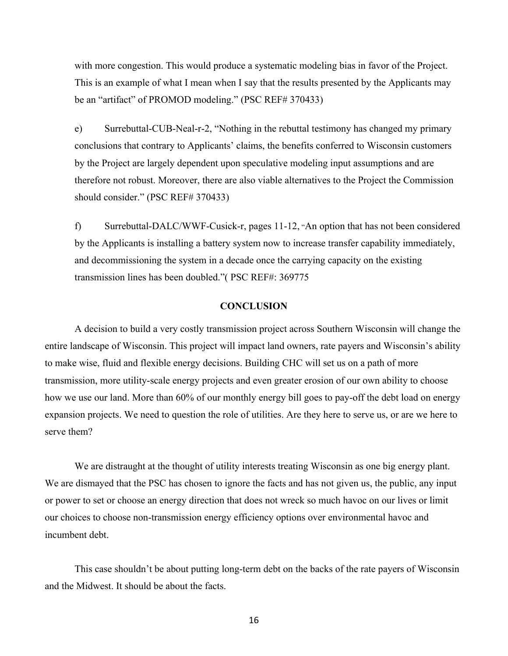with more congestion. This would produce a systematic modeling bias in favor of the Project. This is an example of what I mean when I say that the results presented by the Applicants may be an "artifact" of PROMOD modeling." (PSC REF# 370433)

e) Surrebuttal-CUB-Neal-r-2, "Nothing in the rebuttal testimony has changed my primary conclusions that contrary to Applicants' claims, the benefits conferred to Wisconsin customers by the Project are largely dependent upon speculative modeling input assumptions and are therefore not robust. Moreover, there are also viable alternatives to the Project the Commission should consider." (PSC REF# 370433)

f) Surrebuttal-DALC/WWF-Cusick-r, pages 11-12, "An option that has not been considered by the Applicants is installing a battery system now to increase transfer capability immediately, and decommissioning the system in a decade once the carrying capacity on the existing transmission lines has been doubled."( PSC REF#: 369775

### **CONCLUSION**

A decision to build a very costly transmission project across Southern Wisconsin will change the entire landscape of Wisconsin. This project will impact land owners, rate payers and Wisconsin's ability to make wise, fluid and flexible energy decisions. Building CHC will set us on a path of more transmission, more utility-scale energy projects and even greater erosion of our own ability to choose how we use our land. More than 60% of our monthly energy bill goes to pay-off the debt load on energy expansion projects. We need to question the role of utilities. Are they here to serve us, or are we here to serve them?

We are distraught at the thought of utility interests treating Wisconsin as one big energy plant. We are dismayed that the PSC has chosen to ignore the facts and has not given us, the public, any input or power to set or choose an energy direction that does not wreck so much havoc on our lives or limit our choices to choose non-transmission energy efficiency options over environmental havoc and incumbent debt.

This case shouldn't be about putting long-term debt on the backs of the rate payers of Wisconsin and the Midwest. It should be about the facts.